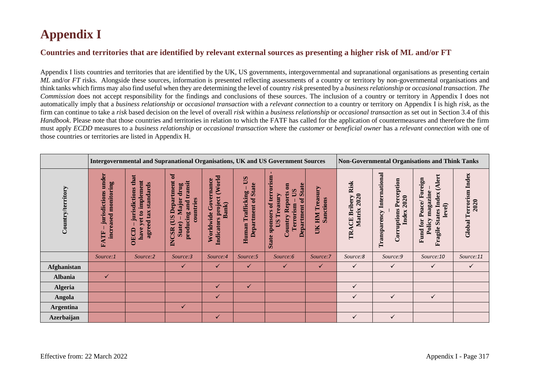## **Appendix I**

## **Countries and territories that are identified by relevant external sources as presenting a higher risk of ML and/or FT**

Appendix I lists countries and territories that are identified by the UK, US governments, intergovernmental and supranational organisations as presenting certain *ML* and/or *FT* risks. Alongside these sources, information is presented reflecting assessments of a country or territory by non-governmental organisations and think tanks which firms may also find useful when they are determining the level of country *risk* presented by a *business relationship* or *occasional transaction*. *The Commission* does not accept responsibility for the findings and conclusions of these sources. The inclusion of a country or territory in Appendix I does not automatically imply that a *business relationship* or *occasional transaction* with a *relevant connection* to a country or territory on Appendix I is high *risk*, as the firm can continue to take a *risk* based decision on the level of overall *risk* within a *business relationship* or *occasional transaction* as set out in Section 3.4 of this *Handbook*. Please note that those countries and territories in relation to which the FATF has called for the application of countermeasures and therefore the firm must apply *ECDD* measures to a *business relationship* or *occasional transaction* where the *customer* or *beneficial owner* has a *relevant connection* with one of those countries or territories are listed in Appendix H.

|                   |                                                           | Intergovernmental and Supranational Organisations, UK and US Government Sources                      |                                                                                                                |                                                               |                                                   |                                                                                                                                                               |                                           |                                              | <b>Non-Governmental Organisations and Think Tanks</b>                               |                                                                                                    |                                          |  |
|-------------------|-----------------------------------------------------------|------------------------------------------------------------------------------------------------------|----------------------------------------------------------------------------------------------------------------|---------------------------------------------------------------|---------------------------------------------------|---------------------------------------------------------------------------------------------------------------------------------------------------------------|-------------------------------------------|----------------------------------------------|-------------------------------------------------------------------------------------|----------------------------------------------------------------------------------------------------|------------------------------------------|--|
| Country/territory | under<br>monitoring<br>jurisdictions<br>increased<br>FATF | that<br>implement<br>standards<br>jurisdictions<br>agreed tax<br>$\mathbf{a}$<br>yet<br>have<br>OECD | $\sigma$<br>Department<br>producing and transit<br>drug<br>Major<br>countries<br>CUS<br>State)<br><b>INCSR</b> | (World<br>Worldwide Governance<br>Indicators project<br>Bank) | SQ<br>Department of State<br>Trafficking<br>Human | State sponsors of terrorism<br><b>Department of State</b><br>$\overline{\mathbf{e}}$<br>$\mathbf{S}$<br><b>Country Reports</b><br>Treasury<br>Terrorism<br>SQ | Treasury<br>Sanctions<br><b>NHI</b><br>UК | <b>CE Bribery Risk</b><br>Matrix 2020<br>TRA | <b>Transparency International</b><br><b>Corruptions Perception</b><br>2020<br>Index | (Alert<br>Fund for Peace/Foreign<br>magazine<br><b>States Index</b><br>level)<br>Policy<br>Fragile | <b>Terrorism</b> Index<br>2020<br>Global |  |
|                   | Source:1                                                  | Source:2                                                                                             | Source:3                                                                                                       | Source:4                                                      | Source:5                                          | Source:6                                                                                                                                                      | Source:7                                  | Source:8                                     | Source:9                                                                            | Source:10                                                                                          | Source:11                                |  |
| Afghanistan       |                                                           |                                                                                                      | $\checkmark$                                                                                                   | $\checkmark$                                                  | $\checkmark$                                      | $\checkmark$                                                                                                                                                  | $\checkmark$                              | $\checkmark$                                 | ✓                                                                                   | ✓                                                                                                  | $\checkmark$                             |  |
| <b>Albania</b>    | ✓                                                         |                                                                                                      |                                                                                                                |                                                               |                                                   |                                                                                                                                                               |                                           |                                              |                                                                                     |                                                                                                    |                                          |  |
| <b>Algeria</b>    |                                                           |                                                                                                      |                                                                                                                | $\checkmark$                                                  | $\checkmark$                                      |                                                                                                                                                               |                                           | ✓                                            |                                                                                     |                                                                                                    |                                          |  |
| Angola            |                                                           |                                                                                                      |                                                                                                                | $\checkmark$                                                  |                                                   |                                                                                                                                                               |                                           | ✓                                            | ✓                                                                                   | $\checkmark$                                                                                       |                                          |  |
| <b>Argentina</b>  |                                                           |                                                                                                      | ✓                                                                                                              |                                                               |                                                   |                                                                                                                                                               |                                           |                                              |                                                                                     |                                                                                                    |                                          |  |
| <b>Azerbaijan</b> |                                                           |                                                                                                      |                                                                                                                | $\checkmark$                                                  |                                                   |                                                                                                                                                               |                                           | ✓                                            | ✓                                                                                   |                                                                                                    |                                          |  |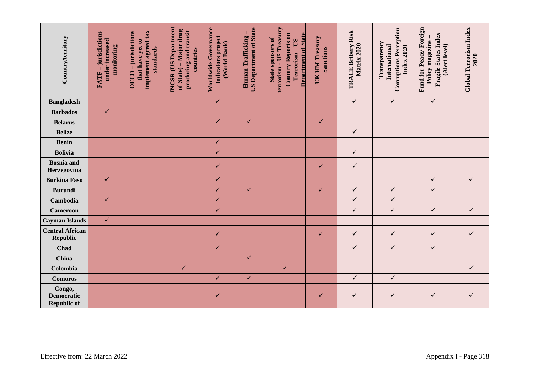| Country/territory                                      | -jurisdictions<br>under increased<br>monitoring<br>FATF- | implement agreed tax<br>OECD - jurisdictions<br>that have yet to<br>standards | INCSR (US Department<br>of State) – Major drug<br>producing and transit<br>countries | Worldwide Governance<br>Indicators project<br>(World Bank) | <b>US Department of State</b><br>Human Trafficking- | terrorism - US Treasury<br><b>Department of State</b><br><b>Country Reports on</b><br>State sponsors of<br>Terrorism - US | UK HM Treasury<br><b>Sanctions</b> | TRACE Bribery Risk<br>Matrix 2020 | <b>Corruptions Perception</b><br>Transparency<br>International<br><b>Index 2020</b> | Fund for Peace/Foreign<br>Fragile States Index<br>Policy magazine-<br>(Alert level) | <b>Global Terrorism Index</b><br>2020 |
|--------------------------------------------------------|----------------------------------------------------------|-------------------------------------------------------------------------------|--------------------------------------------------------------------------------------|------------------------------------------------------------|-----------------------------------------------------|---------------------------------------------------------------------------------------------------------------------------|------------------------------------|-----------------------------------|-------------------------------------------------------------------------------------|-------------------------------------------------------------------------------------|---------------------------------------|
| <b>Bangladesh</b>                                      |                                                          |                                                                               |                                                                                      | $\checkmark$                                               |                                                     |                                                                                                                           |                                    | $\checkmark$                      | $\checkmark$                                                                        | $\checkmark$                                                                        |                                       |
| <b>Barbados</b>                                        | $\checkmark$                                             |                                                                               |                                                                                      |                                                            |                                                     |                                                                                                                           |                                    |                                   |                                                                                     |                                                                                     |                                       |
| <b>Belarus</b>                                         |                                                          |                                                                               |                                                                                      | $\checkmark$                                               | $\checkmark$                                        |                                                                                                                           | $\checkmark$                       |                                   |                                                                                     |                                                                                     |                                       |
| <b>Belize</b>                                          |                                                          |                                                                               |                                                                                      |                                                            |                                                     |                                                                                                                           |                                    | $\checkmark$                      |                                                                                     |                                                                                     |                                       |
| <b>Benin</b>                                           |                                                          |                                                                               |                                                                                      | $\checkmark$                                               |                                                     |                                                                                                                           |                                    |                                   |                                                                                     |                                                                                     |                                       |
| <b>Bolivia</b>                                         |                                                          |                                                                               |                                                                                      | $\checkmark$                                               |                                                     |                                                                                                                           |                                    | $\checkmark$                      |                                                                                     |                                                                                     |                                       |
| <b>Bosnia</b> and<br>Herzegovina                       |                                                          |                                                                               |                                                                                      | $\checkmark$                                               |                                                     |                                                                                                                           | ✓                                  | $\checkmark$                      |                                                                                     |                                                                                     |                                       |
| <b>Burkina Faso</b>                                    | $\checkmark$                                             |                                                                               |                                                                                      | $\checkmark$                                               |                                                     |                                                                                                                           |                                    |                                   |                                                                                     | $\checkmark$                                                                        | $\checkmark$                          |
| <b>Burundi</b>                                         |                                                          |                                                                               |                                                                                      | $\checkmark$                                               | $\checkmark$                                        |                                                                                                                           | $\checkmark$                       | $\checkmark$                      | $\checkmark$                                                                        | $\checkmark$                                                                        |                                       |
| Cambodia                                               | $\checkmark$                                             |                                                                               |                                                                                      | $\checkmark$                                               |                                                     |                                                                                                                           |                                    | $\checkmark$                      | $\checkmark$                                                                        |                                                                                     |                                       |
| <b>Cameroon</b>                                        |                                                          |                                                                               |                                                                                      | $\checkmark$                                               |                                                     |                                                                                                                           |                                    | $\checkmark$                      | $\checkmark$                                                                        | $\checkmark$                                                                        | $\checkmark$                          |
| <b>Cayman Islands</b>                                  | $\checkmark$                                             |                                                                               |                                                                                      |                                                            |                                                     |                                                                                                                           |                                    |                                   |                                                                                     |                                                                                     |                                       |
| <b>Central African</b><br><b>Republic</b>              |                                                          |                                                                               |                                                                                      | $\checkmark$                                               |                                                     |                                                                                                                           | $\checkmark$                       | $\checkmark$                      | $\checkmark$                                                                        | $\checkmark$                                                                        | $\checkmark$                          |
| Chad                                                   |                                                          |                                                                               |                                                                                      | $\checkmark$                                               |                                                     |                                                                                                                           |                                    | $\checkmark$                      | $\checkmark$                                                                        | $\checkmark$                                                                        |                                       |
| <b>China</b>                                           |                                                          |                                                                               |                                                                                      |                                                            | $\checkmark$                                        |                                                                                                                           |                                    |                                   |                                                                                     |                                                                                     |                                       |
| Colombia                                               |                                                          |                                                                               | $\checkmark$                                                                         |                                                            |                                                     | $\checkmark$                                                                                                              |                                    |                                   |                                                                                     |                                                                                     | $\checkmark$                          |
| <b>Comoros</b>                                         |                                                          |                                                                               |                                                                                      | $\checkmark$                                               | $\checkmark$                                        |                                                                                                                           |                                    | $\checkmark$                      | $\checkmark$                                                                        |                                                                                     |                                       |
| Congo,<br><b>Democratic</b><br><b>Republic of</b>      |                                                          |                                                                               |                                                                                      | $\checkmark$                                               |                                                     |                                                                                                                           | ✓                                  | $\checkmark$                      | $\checkmark$                                                                        | $\checkmark$                                                                        | ✓                                     |
| Effective from: 22 March 2022<br>Appendix I - Page 318 |                                                          |                                                                               |                                                                                      |                                                            |                                                     |                                                                                                                           |                                    |                                   |                                                                                     |                                                                                     |                                       |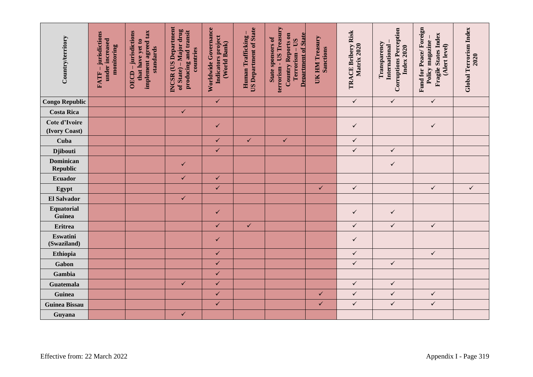| Country/territory              | -jurisdictions<br>under increased<br>monitoring<br>FATF- | implement agreed tax<br>OECD - jurisdictions<br>that have yet to<br>standards | <b>INCSR</b> (US Department<br>of State) – Major drug<br>producing and transit<br>countries | Worldwide Governance<br>Indicators project<br>(World Bank) | <b>US Department of State</b><br>Human Trafficking | terrorism - US Treasury<br><b>Department of State</b><br><b>Country Reports on</b><br><b>State sponsors of</b><br>Terrorism - US | UK HM Treasury<br><b>Sanctions</b> | TRACE Bribery Risk<br>Matrix 2020 | <b>Corruptions Perception</b><br>Transparency<br>International<br><b>Index 2020</b> | Fund for Peace/Foreign<br>Fragile States Index<br>Policy magazine<br>(Alert level) | <b>Global Terrorism Index</b><br>2020 |  |
|--------------------------------|----------------------------------------------------------|-------------------------------------------------------------------------------|---------------------------------------------------------------------------------------------|------------------------------------------------------------|----------------------------------------------------|----------------------------------------------------------------------------------------------------------------------------------|------------------------------------|-----------------------------------|-------------------------------------------------------------------------------------|------------------------------------------------------------------------------------|---------------------------------------|--|
| <b>Congo Republic</b>          |                                                          |                                                                               |                                                                                             | $\checkmark$                                               |                                                    |                                                                                                                                  |                                    | $\checkmark$                      | $\checkmark$                                                                        | $\checkmark$                                                                       |                                       |  |
| <b>Costa Rica</b>              |                                                          |                                                                               | $\checkmark$                                                                                |                                                            |                                                    |                                                                                                                                  |                                    |                                   |                                                                                     |                                                                                    |                                       |  |
| Cote d'Ivoire<br>(Ivory Coast) |                                                          |                                                                               |                                                                                             | ✓                                                          |                                                    |                                                                                                                                  |                                    | $\checkmark$                      |                                                                                     | $\checkmark$                                                                       |                                       |  |
| Cuba                           |                                                          |                                                                               |                                                                                             | $\checkmark$                                               | $\checkmark$                                       | $\checkmark$                                                                                                                     |                                    | $\checkmark$                      |                                                                                     |                                                                                    |                                       |  |
| <b>Djibouti</b>                |                                                          |                                                                               |                                                                                             | $\checkmark$                                               |                                                    |                                                                                                                                  |                                    | $\checkmark$                      | $\checkmark$                                                                        |                                                                                    |                                       |  |
| <b>Dominican</b><br>Republic   |                                                          |                                                                               | ✓                                                                                           |                                                            |                                                    |                                                                                                                                  |                                    |                                   | $\checkmark$                                                                        |                                                                                    |                                       |  |
| Ecuador                        |                                                          |                                                                               | $\checkmark$                                                                                | $\checkmark$                                               |                                                    |                                                                                                                                  |                                    |                                   |                                                                                     |                                                                                    |                                       |  |
| Egypt                          |                                                          |                                                                               |                                                                                             | $\checkmark$                                               |                                                    |                                                                                                                                  | $\checkmark$                       | $\checkmark$                      |                                                                                     | $\checkmark$                                                                       | $\checkmark$                          |  |
| <b>El Salvador</b>             |                                                          |                                                                               | $\checkmark$                                                                                |                                                            |                                                    |                                                                                                                                  |                                    |                                   |                                                                                     |                                                                                    |                                       |  |
| Equatorial<br>Guinea           |                                                          |                                                                               |                                                                                             | $\checkmark$                                               |                                                    |                                                                                                                                  |                                    | $\checkmark$                      | $\checkmark$                                                                        |                                                                                    |                                       |  |
| <b>Eritrea</b>                 |                                                          |                                                                               |                                                                                             | $\checkmark$                                               | $\checkmark$                                       |                                                                                                                                  |                                    | $\checkmark$                      | $\checkmark$                                                                        | $\checkmark$                                                                       |                                       |  |
| Eswatini<br>(Swaziland)        |                                                          |                                                                               |                                                                                             | ✓                                                          |                                                    |                                                                                                                                  |                                    | $\checkmark$                      |                                                                                     |                                                                                    |                                       |  |
| Ethiopia                       |                                                          |                                                                               |                                                                                             | $\checkmark$                                               |                                                    |                                                                                                                                  |                                    | $\checkmark$                      |                                                                                     | $\checkmark$                                                                       |                                       |  |
| Gabon                          |                                                          |                                                                               |                                                                                             | $\checkmark$                                               |                                                    |                                                                                                                                  |                                    | $\checkmark$                      | $\checkmark$                                                                        |                                                                                    |                                       |  |
| Gambia                         |                                                          |                                                                               |                                                                                             | $\checkmark$                                               |                                                    |                                                                                                                                  |                                    |                                   |                                                                                     |                                                                                    |                                       |  |
| <b>Guatemala</b>               |                                                          |                                                                               | $\checkmark$                                                                                | $\checkmark$                                               |                                                    |                                                                                                                                  |                                    | $\checkmark$                      | $\checkmark$                                                                        |                                                                                    |                                       |  |
| Guinea                         |                                                          |                                                                               |                                                                                             | $\checkmark$                                               |                                                    |                                                                                                                                  | $\checkmark$                       | $\checkmark$                      | $\checkmark$                                                                        | $\checkmark$                                                                       |                                       |  |
| <b>Guinea Bissau</b>           |                                                          |                                                                               |                                                                                             | $\checkmark$                                               |                                                    |                                                                                                                                  | $\checkmark$                       | $\checkmark$                      | $\checkmark$                                                                        | $\checkmark$                                                                       |                                       |  |
| Guyana                         |                                                          |                                                                               | $\checkmark$                                                                                |                                                            |                                                    |                                                                                                                                  |                                    |                                   |                                                                                     |                                                                                    |                                       |  |
| Effective from: 22 March 2022  | Appendix I - Page 319                                    |                                                                               |                                                                                             |                                                            |                                                    |                                                                                                                                  |                                    |                                   |                                                                                     |                                                                                    |                                       |  |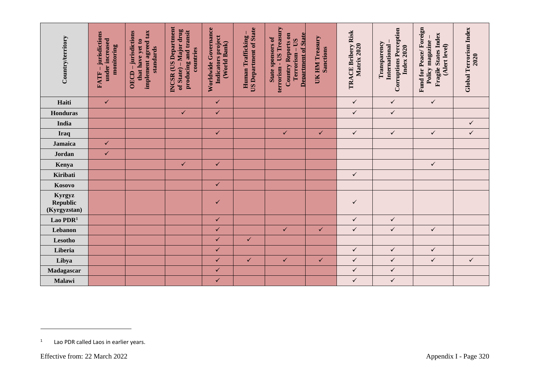| Country/territory                         | FATF - jurisdictions<br>under increased<br>monitoring | implement agreed tax<br>OECD - jurisdictions<br>that have yet to<br>standards | <b>INCSR</b> (US Department<br>of State) – Major drug<br>producing and transit<br>countries | Worldwide Governance<br>Indicators project<br>(World Bank) | <b>US Department of State</b><br>Human Trafficking | terrorism - US Treasury<br><b>Department of State</b><br>Country Reports on<br>State sponsors of<br>Terrorism - US | UK HM Treasury<br><b>Sanctions</b> | TRACE Bribery Risk<br>Matrix 2020 | <b>Corruptions Perception</b><br>Transparency<br>International<br><b>Index 2020</b> | Fund for Peace/Foreign<br>Fragile States Index<br>Policy magazine<br>(Alert level) | Global Terrorism Index<br>2020 |
|-------------------------------------------|-------------------------------------------------------|-------------------------------------------------------------------------------|---------------------------------------------------------------------------------------------|------------------------------------------------------------|----------------------------------------------------|--------------------------------------------------------------------------------------------------------------------|------------------------------------|-----------------------------------|-------------------------------------------------------------------------------------|------------------------------------------------------------------------------------|--------------------------------|
| Haiti                                     | $\checkmark$                                          |                                                                               |                                                                                             | $\checkmark$                                               |                                                    |                                                                                                                    |                                    | $\checkmark$                      | $\checkmark$                                                                        | $\checkmark$                                                                       |                                |
| <b>Honduras</b>                           |                                                       |                                                                               | $\checkmark$                                                                                | $\checkmark$                                               |                                                    |                                                                                                                    |                                    | $\checkmark$                      | $\checkmark$                                                                        |                                                                                    |                                |
| India                                     |                                                       |                                                                               |                                                                                             |                                                            |                                                    |                                                                                                                    |                                    |                                   |                                                                                     |                                                                                    | $\checkmark$                   |
| Iraq                                      |                                                       |                                                                               |                                                                                             | $\checkmark$                                               |                                                    | $\checkmark$                                                                                                       | $\checkmark$                       | $\checkmark$                      | $\checkmark$                                                                        | $\checkmark$                                                                       | $\checkmark$                   |
| Jamaica                                   | $\checkmark$                                          |                                                                               |                                                                                             |                                                            |                                                    |                                                                                                                    |                                    |                                   |                                                                                     |                                                                                    |                                |
| Jordan                                    | $\checkmark$                                          |                                                                               |                                                                                             |                                                            |                                                    |                                                                                                                    |                                    |                                   |                                                                                     |                                                                                    |                                |
| Kenya                                     |                                                       |                                                                               | $\checkmark$                                                                                | $\checkmark$                                               |                                                    |                                                                                                                    |                                    |                                   |                                                                                     | $\checkmark$                                                                       |                                |
| Kiribati                                  |                                                       |                                                                               |                                                                                             |                                                            |                                                    |                                                                                                                    |                                    | $\checkmark$                      |                                                                                     |                                                                                    |                                |
| Kosovo                                    |                                                       |                                                                               |                                                                                             | $\checkmark$                                               |                                                    |                                                                                                                    |                                    |                                   |                                                                                     |                                                                                    |                                |
| Kyrgyz<br><b>Republic</b><br>(Kyrgyzstan) |                                                       |                                                                               |                                                                                             | ✓                                                          |                                                    |                                                                                                                    |                                    | $\checkmark$                      |                                                                                     |                                                                                    |                                |
| Lao PDR <sup>1</sup>                      |                                                       |                                                                               |                                                                                             | $\checkmark$                                               |                                                    |                                                                                                                    |                                    | $\checkmark$                      | $\checkmark$                                                                        |                                                                                    |                                |
| Lebanon                                   |                                                       |                                                                               |                                                                                             | $\checkmark$                                               |                                                    | $\checkmark$                                                                                                       | $\checkmark$                       | $\checkmark$                      | $\checkmark$                                                                        | $\checkmark$                                                                       |                                |
| Lesotho                                   |                                                       |                                                                               |                                                                                             | $\checkmark$                                               | $\checkmark$                                       |                                                                                                                    |                                    |                                   |                                                                                     |                                                                                    |                                |
| Liberia                                   |                                                       |                                                                               |                                                                                             | $\checkmark$                                               |                                                    |                                                                                                                    |                                    | $\checkmark$                      | $\checkmark$                                                                        | $\checkmark$                                                                       |                                |
| Libya                                     |                                                       |                                                                               |                                                                                             | $\checkmark$                                               | $\checkmark$                                       | $\checkmark$                                                                                                       | $\checkmark$                       | $\checkmark$                      | $\checkmark$                                                                        | $\checkmark$                                                                       | $\checkmark$                   |
| Madagascar                                |                                                       |                                                                               |                                                                                             | $\checkmark$                                               |                                                    |                                                                                                                    |                                    | $\checkmark$                      | $\checkmark$                                                                        |                                                                                    |                                |
| Malawi                                    |                                                       |                                                                               |                                                                                             | $\checkmark$                                               |                                                    |                                                                                                                    |                                    | $\checkmark$                      | $\checkmark$                                                                        |                                                                                    |                                |
| 1<br>Effective from: 22 March 2022        | Lao PDR called Laos in earlier years.                 |                                                                               |                                                                                             |                                                            |                                                    |                                                                                                                    |                                    |                                   |                                                                                     |                                                                                    | Appendix I - Page 320          |

<sup>1</sup> Lao PDR called Laos in earlier years.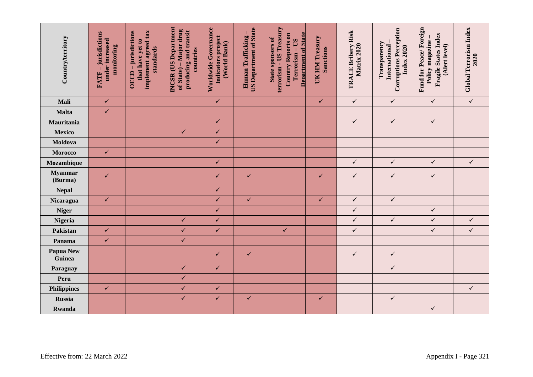| Country/territory          | FATF-jurisdictions<br>under increased<br>monitoring    | implement agreed tax<br>OECD-jurisdictions<br>that have yet to<br>standards | <b>INCSR</b> (US Department<br>of State) – Major drug<br>producing and transit<br>countries | Worldwide Governance<br>Indicators project<br>(World Bank) | <b>US Department of State</b><br>Human Trafficking | terrorism - US Treasury<br><b>Department of State</b><br><b>Country Reports on</b><br><b>State sponsors of</b><br>Terrorism - US | UK HM Treasury<br><b>Sanctions</b> | TRACE Bribery Risk<br>Matrix 2020 | <b>Corruptions Perception</b><br>Transparency<br>International<br><b>Index 2020</b> | Fund for Peace/Foreign<br>Fragile States Index<br>Policy magazine -<br>(Alert level) | Global Terrorism Index<br>2020 |  |
|----------------------------|--------------------------------------------------------|-----------------------------------------------------------------------------|---------------------------------------------------------------------------------------------|------------------------------------------------------------|----------------------------------------------------|----------------------------------------------------------------------------------------------------------------------------------|------------------------------------|-----------------------------------|-------------------------------------------------------------------------------------|--------------------------------------------------------------------------------------|--------------------------------|--|
| Mali                       | $\checkmark$                                           |                                                                             |                                                                                             | $\checkmark$                                               |                                                    |                                                                                                                                  | $\checkmark$                       | $\checkmark$                      | $\checkmark$                                                                        | $\checkmark$                                                                         | $\checkmark$                   |  |
| Malta                      | $\checkmark$                                           |                                                                             |                                                                                             |                                                            |                                                    |                                                                                                                                  |                                    |                                   |                                                                                     |                                                                                      |                                |  |
| Mauritania                 |                                                        |                                                                             |                                                                                             | $\checkmark$                                               |                                                    |                                                                                                                                  |                                    | $\checkmark$                      | $\checkmark$                                                                        | $\checkmark$                                                                         |                                |  |
| <b>Mexico</b>              |                                                        |                                                                             | $\checkmark$                                                                                | $\checkmark$                                               |                                                    |                                                                                                                                  |                                    |                                   |                                                                                     |                                                                                      |                                |  |
| Moldova                    |                                                        |                                                                             |                                                                                             | $\checkmark$                                               |                                                    |                                                                                                                                  |                                    |                                   |                                                                                     |                                                                                      |                                |  |
| Morocco                    | $\checkmark$                                           |                                                                             |                                                                                             |                                                            |                                                    |                                                                                                                                  |                                    |                                   |                                                                                     |                                                                                      |                                |  |
| Mozambique                 |                                                        |                                                                             |                                                                                             | $\checkmark$                                               |                                                    |                                                                                                                                  |                                    | $\checkmark$                      | $\checkmark$                                                                        | $\checkmark$                                                                         | $\checkmark$                   |  |
| <b>Myanmar</b><br>(Burma)  | $\checkmark$                                           |                                                                             |                                                                                             | ✓                                                          | $\checkmark$                                       |                                                                                                                                  | $\checkmark$                       | $\checkmark$                      | $\checkmark$                                                                        | $\checkmark$                                                                         |                                |  |
| <b>Nepal</b>               |                                                        |                                                                             |                                                                                             | $\checkmark$                                               |                                                    |                                                                                                                                  |                                    |                                   |                                                                                     |                                                                                      |                                |  |
| Nicaragua                  | $\checkmark$                                           |                                                                             |                                                                                             | $\checkmark$                                               | $\checkmark$                                       |                                                                                                                                  | $\checkmark$                       | $\checkmark$                      | $\checkmark$                                                                        |                                                                                      |                                |  |
| <b>Niger</b>               |                                                        |                                                                             |                                                                                             | $\checkmark$                                               |                                                    |                                                                                                                                  |                                    | $\checkmark$                      |                                                                                     | $\checkmark$                                                                         |                                |  |
| Nigeria                    |                                                        |                                                                             | $\checkmark$                                                                                | $\checkmark$                                               |                                                    |                                                                                                                                  |                                    | $\checkmark$                      | $\checkmark$                                                                        | $\checkmark$                                                                         | $\checkmark$                   |  |
| Pakistan                   | $\checkmark$                                           |                                                                             | $\checkmark$                                                                                | $\checkmark$                                               |                                                    | $\checkmark$                                                                                                                     |                                    | $\checkmark$                      |                                                                                     | $\checkmark$                                                                         | $\checkmark$                   |  |
| Panama                     | $\checkmark$                                           |                                                                             | $\checkmark$                                                                                |                                                            |                                                    |                                                                                                                                  |                                    |                                   |                                                                                     |                                                                                      |                                |  |
| <b>Papua New</b><br>Guinea |                                                        |                                                                             |                                                                                             | $\checkmark$                                               | $\checkmark$                                       |                                                                                                                                  |                                    | $\checkmark$                      | $\checkmark$                                                                        |                                                                                      |                                |  |
| Paraguay                   |                                                        |                                                                             | $\checkmark$                                                                                | $\checkmark$                                               |                                                    |                                                                                                                                  |                                    |                                   | $\checkmark$                                                                        |                                                                                      |                                |  |
| Peru                       |                                                        |                                                                             | $\checkmark$                                                                                |                                                            |                                                    |                                                                                                                                  |                                    |                                   |                                                                                     |                                                                                      |                                |  |
| <b>Philippines</b>         | $\checkmark$                                           |                                                                             | $\checkmark$                                                                                | $\checkmark$                                               |                                                    |                                                                                                                                  |                                    |                                   |                                                                                     |                                                                                      | $\checkmark$                   |  |
| <b>Russia</b>              |                                                        |                                                                             | $\checkmark$                                                                                | $\checkmark$                                               | $\checkmark$                                       |                                                                                                                                  | $\checkmark$                       |                                   | $\checkmark$                                                                        |                                                                                      |                                |  |
| Rwanda                     |                                                        |                                                                             |                                                                                             |                                                            |                                                    |                                                                                                                                  |                                    |                                   |                                                                                     | $\checkmark$                                                                         |                                |  |
|                            | Effective from: 22 March 2022<br>Appendix I - Page 321 |                                                                             |                                                                                             |                                                            |                                                    |                                                                                                                                  |                                    |                                   |                                                                                     |                                                                                      |                                |  |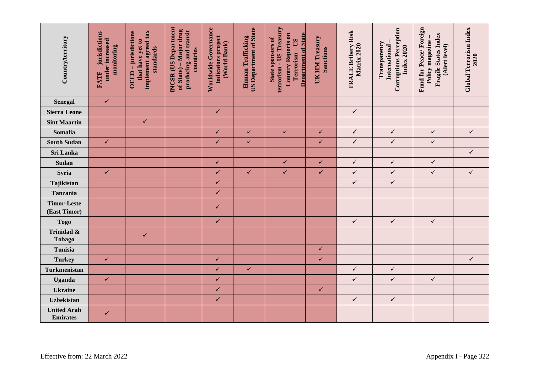| Country/territory                     | FATF – jurisdictions<br>under increased<br>monitoring  | implement agreed tax<br>OECD-jurisdictions<br>that have yet to<br>standards | <b>INCSR</b> (US Department<br>of State) – Major drug<br>producing and transit<br>countries | Worldwide Governance<br>Indicators project<br>(World Bank) | <b>US Department of State</b><br>Human Trafficking | terrorism - US Treasury<br><b>Department of State</b><br><b>Country Reports on</b><br>State sponsors of<br>Terrorism - US | UK HM Treasury<br><b>Sanctions</b> | TRACE Bribery Risk<br>Matrix 2020 | <b>Corruptions Perception</b><br>Transparency<br>International<br><b>Index 2020</b> | Fund for Peace/Foreign<br>Fragile States Index<br>Policy magazine -<br>(Alert level) | Global Terrorism Index<br>2020 |  |
|---------------------------------------|--------------------------------------------------------|-----------------------------------------------------------------------------|---------------------------------------------------------------------------------------------|------------------------------------------------------------|----------------------------------------------------|---------------------------------------------------------------------------------------------------------------------------|------------------------------------|-----------------------------------|-------------------------------------------------------------------------------------|--------------------------------------------------------------------------------------|--------------------------------|--|
| <b>Senegal</b>                        | $\checkmark$                                           |                                                                             |                                                                                             |                                                            |                                                    |                                                                                                                           |                                    |                                   |                                                                                     |                                                                                      |                                |  |
| <b>Sierra Leone</b>                   |                                                        |                                                                             |                                                                                             | $\checkmark$                                               |                                                    |                                                                                                                           |                                    | $\checkmark$                      |                                                                                     |                                                                                      |                                |  |
| <b>Sint Maartin</b>                   |                                                        | $\checkmark$                                                                |                                                                                             |                                                            |                                                    |                                                                                                                           |                                    |                                   |                                                                                     |                                                                                      |                                |  |
| Somalia                               |                                                        |                                                                             |                                                                                             | $\checkmark$                                               | $\checkmark$                                       | $\checkmark$                                                                                                              | $\checkmark$                       | $\checkmark$                      | $\checkmark$                                                                        | $\checkmark$                                                                         | $\checkmark$                   |  |
| <b>South Sudan</b>                    | $\checkmark$                                           |                                                                             |                                                                                             | $\checkmark$                                               | $\checkmark$                                       |                                                                                                                           | $\checkmark$                       | $\checkmark$                      | $\checkmark$                                                                        | $\checkmark$                                                                         |                                |  |
| Sri Lanka                             |                                                        |                                                                             |                                                                                             |                                                            |                                                    |                                                                                                                           |                                    |                                   |                                                                                     |                                                                                      | $\checkmark$                   |  |
| Sudan                                 |                                                        |                                                                             |                                                                                             | $\checkmark$                                               |                                                    | $\checkmark$                                                                                                              | $\checkmark$                       | $\checkmark$                      | $\checkmark$                                                                        | $\checkmark$                                                                         |                                |  |
| Syria                                 | $\checkmark$                                           |                                                                             |                                                                                             | $\checkmark$                                               | $\checkmark$                                       | $\checkmark$                                                                                                              | $\checkmark$                       | $\checkmark$                      | $\checkmark$                                                                        | $\checkmark$                                                                         | $\checkmark$                   |  |
| Tajikistan                            |                                                        |                                                                             |                                                                                             | $\checkmark$                                               |                                                    |                                                                                                                           |                                    | $\checkmark$                      | $\checkmark$                                                                        |                                                                                      |                                |  |
| Tanzania                              |                                                        |                                                                             |                                                                                             | $\checkmark$                                               |                                                    |                                                                                                                           |                                    |                                   |                                                                                     |                                                                                      |                                |  |
| <b>Timor-Leste</b><br>(East Timor)    |                                                        |                                                                             |                                                                                             | ✓                                                          |                                                    |                                                                                                                           |                                    |                                   |                                                                                     |                                                                                      |                                |  |
| <b>Togo</b>                           |                                                        |                                                                             |                                                                                             | $\checkmark$                                               |                                                    |                                                                                                                           |                                    | $\checkmark$                      | $\checkmark$                                                                        | $\checkmark$                                                                         |                                |  |
| Trinidad &<br><b>Tobago</b>           |                                                        | $\checkmark$                                                                |                                                                                             |                                                            |                                                    |                                                                                                                           |                                    |                                   |                                                                                     |                                                                                      |                                |  |
| Tunisia                               |                                                        |                                                                             |                                                                                             |                                                            |                                                    |                                                                                                                           | $\checkmark$                       |                                   |                                                                                     |                                                                                      |                                |  |
| <b>Turkey</b>                         | $\checkmark$                                           |                                                                             |                                                                                             | $\checkmark$                                               |                                                    |                                                                                                                           | $\checkmark$                       |                                   |                                                                                     |                                                                                      | $\checkmark$                   |  |
| <b>Turkmenistan</b>                   |                                                        |                                                                             |                                                                                             | $\checkmark$                                               | $\checkmark$                                       |                                                                                                                           |                                    | $\checkmark$                      | $\checkmark$                                                                        |                                                                                      |                                |  |
| <b>Uganda</b>                         | $\checkmark$                                           |                                                                             |                                                                                             | $\checkmark$                                               |                                                    |                                                                                                                           |                                    | $\checkmark$                      | $\checkmark$                                                                        | $\checkmark$                                                                         |                                |  |
| <b>Ukraine</b>                        |                                                        |                                                                             |                                                                                             | $\checkmark$                                               |                                                    |                                                                                                                           | $\checkmark$                       |                                   |                                                                                     |                                                                                      |                                |  |
| Uzbekistan                            |                                                        |                                                                             |                                                                                             | $\checkmark$                                               |                                                    |                                                                                                                           |                                    | $\checkmark$                      | $\checkmark$                                                                        |                                                                                      |                                |  |
| <b>United Arab</b><br><b>Emirates</b> | ✓                                                      |                                                                             |                                                                                             |                                                            |                                                    |                                                                                                                           |                                    |                                   |                                                                                     |                                                                                      |                                |  |
|                                       | Effective from: 22 March 2022<br>Appendix I - Page 322 |                                                                             |                                                                                             |                                                            |                                                    |                                                                                                                           |                                    |                                   |                                                                                     |                                                                                      |                                |  |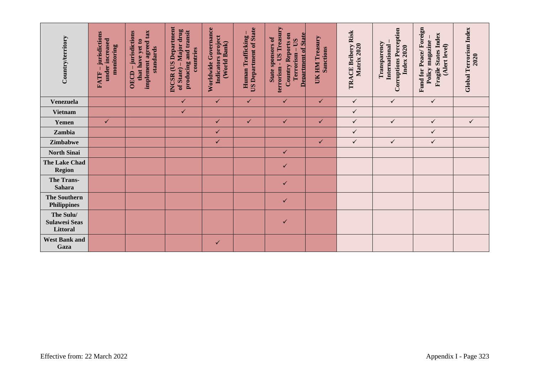| Country/territory                             | -jurisdictions<br>under increased<br>monitoring<br><b>FATF</b> | implement agreed tax<br>OECD - jurisdictions<br>that have yet to<br>standards | <b>INCSR</b> (US Department<br>of State) – Major drug<br>producing and transit<br>countries | Worldwide Governance<br>Indicators project<br>(World Bank) | <b>US Department of State</b><br>Human Trafficking | terrorism - US Treasury<br><b>Department of State</b><br>Country Reports on<br>State sponsors of<br>Terrorism - US | UK HM Treasury<br><b>Sanctions</b> | TRACE Bribery Risk<br>Matrix 2020 | <b>Corruptions Perception</b><br>Transparency<br>International<br>Index 2020 | Fund for Peace/Foreign<br><b>Fragile States Index</b><br>Policy magazine-<br>(Alert level) | Global Terrorism Index<br>2020 |
|-----------------------------------------------|----------------------------------------------------------------|-------------------------------------------------------------------------------|---------------------------------------------------------------------------------------------|------------------------------------------------------------|----------------------------------------------------|--------------------------------------------------------------------------------------------------------------------|------------------------------------|-----------------------------------|------------------------------------------------------------------------------|--------------------------------------------------------------------------------------------|--------------------------------|
| <b>Venezuela</b>                              |                                                                |                                                                               | $\checkmark$                                                                                | $\checkmark$                                               | $\checkmark$                                       | $\checkmark$                                                                                                       | $\checkmark$                       | $\checkmark$                      | $\checkmark$                                                                 | $\checkmark$                                                                               |                                |
| <b>Vietnam</b>                                |                                                                |                                                                               | $\checkmark$                                                                                |                                                            |                                                    |                                                                                                                    |                                    | $\checkmark$                      |                                                                              |                                                                                            |                                |
| Yemen                                         | $\checkmark$                                                   |                                                                               |                                                                                             | $\checkmark$                                               | $\checkmark$                                       | $\checkmark$                                                                                                       | $\checkmark$                       | $\checkmark$                      | $\checkmark$                                                                 | $\checkmark$                                                                               | $\checkmark$                   |
| Zambia                                        |                                                                |                                                                               |                                                                                             | $\checkmark$                                               |                                                    |                                                                                                                    |                                    | $\checkmark$                      |                                                                              | $\checkmark$                                                                               |                                |
| Zimbabwe                                      |                                                                |                                                                               |                                                                                             | ✓                                                          |                                                    |                                                                                                                    | $\checkmark$                       | $\checkmark$                      | $\checkmark$                                                                 | $\checkmark$                                                                               |                                |
| <b>North Sinai</b>                            |                                                                |                                                                               |                                                                                             |                                                            |                                                    | $\checkmark$                                                                                                       |                                    |                                   |                                                                              |                                                                                            |                                |
| The Lake Chad<br><b>Region</b>                |                                                                |                                                                               |                                                                                             |                                                            |                                                    | ✓                                                                                                                  |                                    |                                   |                                                                              |                                                                                            |                                |
| <b>The Trans-</b><br><b>Sahara</b>            |                                                                |                                                                               |                                                                                             |                                                            |                                                    | $\checkmark$                                                                                                       |                                    |                                   |                                                                              |                                                                                            |                                |
| <b>The Southern</b><br><b>Philippines</b>     |                                                                |                                                                               |                                                                                             |                                                            |                                                    | $\checkmark$                                                                                                       |                                    |                                   |                                                                              |                                                                                            |                                |
| The Sulu/<br><b>Sulawesi Seas</b><br>Littoral |                                                                |                                                                               |                                                                                             |                                                            |                                                    | ✓                                                                                                                  |                                    |                                   |                                                                              |                                                                                            |                                |
| <b>West Bank and</b><br>Gaza                  |                                                                |                                                                               |                                                                                             | $\checkmark$                                               |                                                    |                                                                                                                    |                                    |                                   |                                                                              |                                                                                            |                                |
| Effective from: 22 March 2022                 |                                                                |                                                                               |                                                                                             |                                                            |                                                    |                                                                                                                    |                                    |                                   |                                                                              |                                                                                            | Appendix I - Page 323          |